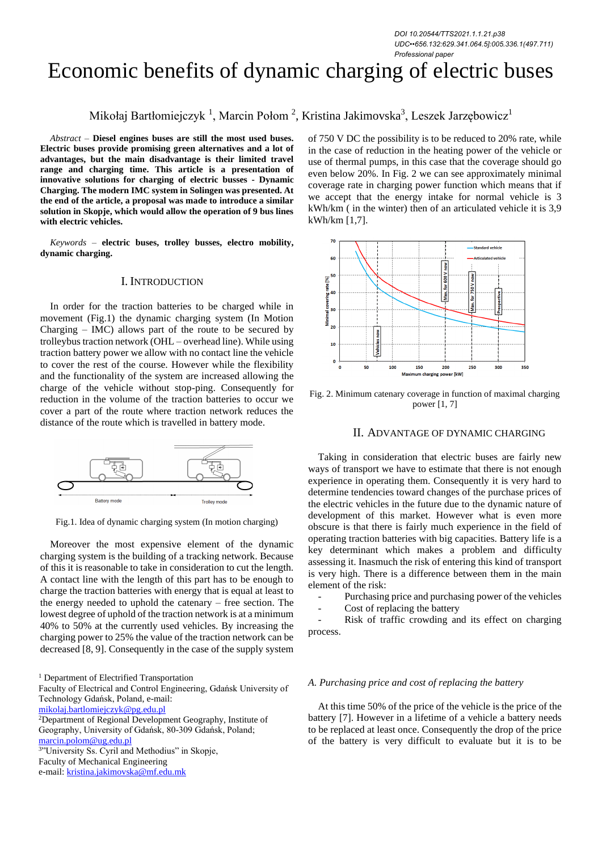*DOI 10.20544/TTS2021.1.1.21.p38 UDC••656.132:629.341.064.5]:005.336.1(497.711) Professional paper*

# Economic benefits of dynamic charging of electric buses

Mikołaj Bartłomiejczyk <sup>1</sup>, Marcin Połom <sup>2</sup>, Kristina Jakimovska<sup>3</sup>, Leszek Jarzębowicz<sup>1</sup>

*Abstract –* **Diesel engines buses are still the most used buses. Electric buses provide promising green alternatives and a lot of advantages, but the main disadvantage is their limited travel range and charging time. This article is a presentation of innovative solutions for charging of electric busses - Dynamic Charging. The modern IMC system in Solingen was presented. At the end of the article, a proposal was made to introduce a similar solution in Skopje, which would allow the operation of 9 bus lines with electric vehicles.**

*Keywords –* **electric buses, trolley busses, electro mobility, dynamic charging.**

# I. INTRODUCTION

In order for the traction batteries to be charged while in movement (Fig.1) the dynamic charging system (In Motion Charging  $-$  IMC) allows part of the route to be secured by trolleybus traction network (OHL – overhead line). While using traction battery power we allow with no contact line the vehicle to cover the rest of the course. However while the flexibility and the functionality of the system are increased allowing the charge of the vehicle without stop-ping. Consequently for reduction in the volume of the traction batteries to occur we cover a part of the route where traction network reduces the distance of the route which is travelled in battery mode.



Fig.1. Idea of dynamic charging system (In motion charging)

Moreover the most expensive element of the dynamic charging system is the building of a tracking network. Because of this it is reasonable to take in consideration to cut the length. A contact line with the length of this part has to be enough to charge the traction batteries with energy that is equal at least to the energy needed to uphold the catenary – free section. The lowest degree of uphold of the traction network is at a minimum 40% to 50% at the currently used vehicles. By increasing the charging power to 25% the value of the traction network can be decreased [8, 9]. Consequently in the case of the supply system

<sup>1</sup> Department of Electrified Transportation

Faculty of Electrical and Control Engineering, Gdańsk University of Technology Gdańsk, Poland, e-mail:

mikolaj.bartlomiejczyk@pg.edu.pl

<sup>3</sup>"University Ss. Cyril and Methodius" in Skopje,

Faculty of Mechanical Engineering

e-mail: [kristina.jakimovska@mf.edu.mk](mailto:kristina.jakimovska@mf.edu.mk)

of 750 V DC the possibility is to be reduced to 20% rate, while in the case of reduction in the heating power of the vehicle or use of thermal pumps, in this case that the coverage should go even below 20%. In Fig. 2 we can see approximately minimal coverage rate in charging power function which means that if we accept that the energy intake for normal vehicle is 3 kWh/km ( in the winter) then of an articulated vehicle it is 3,9 kWh/km [1,7].



Fig. 2. Minimum catenary coverage in function of maximal charging power [1, 7]

#### II. ADVANTAGE OF DYNAMIC CHARGING

Taking in consideration that electric buses are fairly new ways of transport we have to estimate that there is not enough experience in operating them. Consequently it is very hard to determine tendencies toward changes of the purchase prices of the electric vehicles in the future due to the dynamic nature of development of this market. However what is even more obscure is that there is fairly much experience in the field of operating traction batteries with big capacities. Battery life is a key determinant which makes a problem and difficulty assessing it. Inasmuch the risk of entering this kind of transport is very high. There is a difference between them in the main element of the risk:

Purchasing price and purchasing power of the vehicles

Cost of replacing the battery

Risk of traffic crowding and its effect on charging process.

#### *A. Purchasing price and cost of replacing the battery*

At this time 50% of the price of the vehicle is the price of the battery [7]. However in a lifetime of a vehicle a battery needs to be replaced at least once. Consequently the drop of the price of the battery is very difficult to evaluate but it is to be

<sup>2</sup>Department of Regional Development Geography, Institute of Geography, University of Gdańsk, 80-309 Gdańsk, Poland; marcin.polom@ug.edu.pl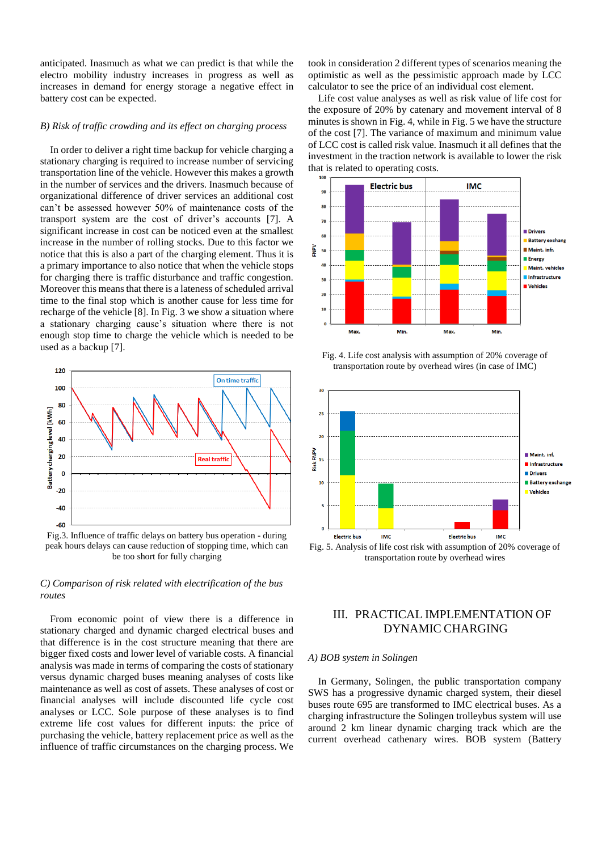anticipated. Inasmuch as what we can predict is that while the electro mobility industry increases in progress as well as increases in demand for energy storage a negative effect in battery cost can be expected.

#### *B) Risk of traffic crowding and its effect on charging process*

In order to deliver a right time backup for vehicle charging a stationary charging is required to increase number of servicing transportation line of the vehicle. However this makes a growth in the number of services and the drivers. Inasmuch because of organizational difference of driver services an additional cost can't be assessed however 50% of maintenance costs of the transport system are the cost of driver's accounts [7]. A significant increase in cost can be noticed even at the smallest increase in the number of rolling stocks. Due to this factor we notice that this is also a part of the charging element. Thus it is a primary importance to also notice that when the vehicle stops for charging there is traffic disturbance and traffic congestion. Moreover this means that there is a lateness of scheduled arrival time to the final stop which is another cause for less time for recharge of the vehicle [8]. In Fig. 3 we show a situation where a stationary charging cause's situation where there is not enough stop time to charge the vehicle which is needed to be used as a backup [7].



Fig.3. Influence of traffic delays on battery bus operation - during peak hours delays can cause reduction of stopping time, which can be too short for fully charging

## *C) Comparison of risk related with electrification of the bus routes*

From economic point of view there is a difference in stationary charged and dynamic charged electrical buses and that difference is in the cost structure meaning that there are bigger fixed costs and lower level of variable costs. A financial analysis was made in terms of comparing the costs of stationary versus dynamic charged buses meaning analyses of costs like maintenance as well as cost of assets. These analyses of cost or financial analyses will include discounted life cycle cost analyses or LCC. Sole purpose of these analyses is to find extreme life cost values for different inputs: the price of purchasing the vehicle, battery replacement price as well as the influence of traffic circumstances on the charging process. We

took in consideration 2 different types of scenarios meaning the optimistic as well as the pessimistic approach made by LCC calculator to see the price of an individual cost element.

Life cost value analyses as well as risk value of life cost for the exposure of 20% by catenary and movement interval of 8 minutes is shown in Fig. 4, while in Fig. 5 we have the structure of the cost [7]. The variance of maximum and minimum value of LCC cost is called risk value. Inasmuch it all defines that the investment in the traction network is available to lower the risk that is related to operating costs.



Fig. 4. Life cost analysis with assumption of 20% coverage of transportation route by overhead wires (in case of IMC)



# III. PRACTICAL IMPLEMENTATION OF DYNAMIC CHARGING

#### *A) BOB system in Solingen*

In Germany, Solingen, the public transportation company SWS has a progressive dynamic charged system, their diesel buses route 695 are transformed to IMC electrical buses. As a charging infrastructure the Solingen trolleybus system will use around 2 km linear dynamic charging track which are the current overhead cathenary wires. BOB system (Battery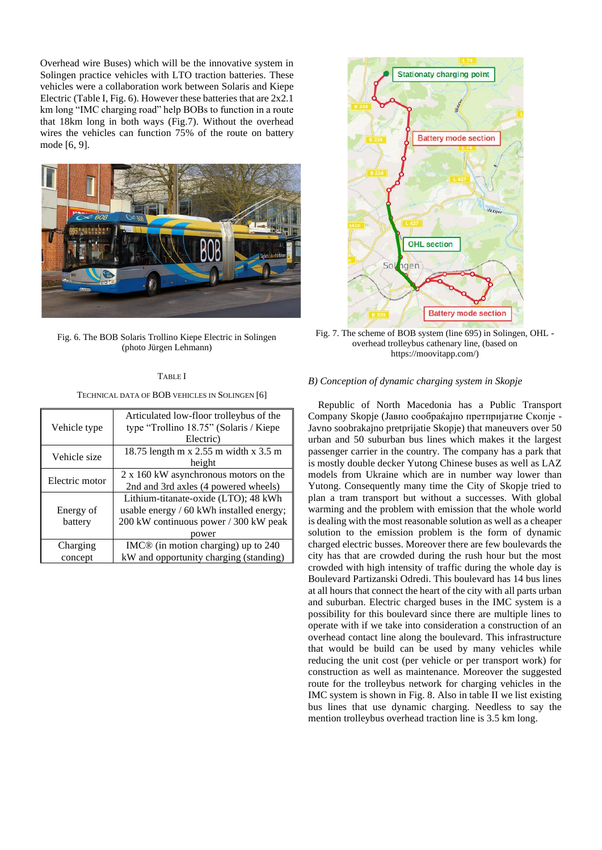Overhead wire Buses) which will be the innovative system in Solingen practice vehicles with LTO traction batteries. These vehicles were a collaboration work between Solaris and Kiepe Electric (Table I, Fig. 6). However these batteries that are 2x2.1 km long "IMC charging road" help BOBs to function in a route that 18km long in both ways (Fig.7). Without the overhead wires the vehicles can function 75% of the route on battery mode [6, 9].



Fig. 6. The BOB Solaris Trollino Kiepe Electric in Solingen (photo Jürgen Lehmann)

#### TABLE I

TECHNICAL DATA OF BOB VEHICLES IN SOLINGEN [6]

|                | Articulated low-floor trolleybus of the  |  |  |
|----------------|------------------------------------------|--|--|
| Vehicle type   | type "Trollino 18.75" (Solaris / Kiepe   |  |  |
|                | Electric)                                |  |  |
| Vehicle size   | 18.75 length m x 2.55 m width x 3.5 m    |  |  |
|                | height                                   |  |  |
| Electric motor | 2 x 160 kW asynchronous motors on the    |  |  |
|                | 2nd and 3rd axles (4 powered wheels)     |  |  |
|                | Lithium-titanate-oxide (LTO); 48 kWh     |  |  |
| Energy of      | usable energy / 60 kWh installed energy; |  |  |
| battery        | 200 kW continuous power / 300 kW peak    |  |  |
|                | power                                    |  |  |
| Charging       | $IMC®$ (in motion charging) up to 240    |  |  |
| concept        | kW and opportunity charging (standing)   |  |  |



Fig. 7. The scheme of BOB system (line 695) in Solingen, OHL overhead trolleybus cathenary line, (based on [https://moovitapp.com/\)](https://moovitapp.com/)

#### *B) Conception of dynamic charging system in Skopje*

Republic of North Macedonia has a Public Transport Company Skopje (Јавно сообраќајно претпријатие Скопје - Javno soobrakajno pretprijatie Skopje) that maneuvers over 50 urban and 50 suburban bus lines which makes it the largest passenger carrier in the country. The company has a park that is mostly double decker Yutong Chinese buses as well as LAZ models from Ukraine which are in number way lower than Yutong. Consequently many time the City of Skopje tried to plan a tram transport but without a successes. With global warming and the problem with emission that the whole world is dealing with the most reasonable solution as well as a cheaper solution to the emission problem is the form of dynamic charged electric busses. Moreover there are few boulevards the city has that are crowded during the rush hour but the most crowded with high intensity of traffic during the whole day is Boulevard Partizanski Odredi. This boulevard has 14 bus lines at all hours that connect the heart of the city with all parts urban and suburban. Electric charged buses in the IMC system is a possibility for this boulevard since there are multiple lines to operate with if we take into consideration a construction of an overhead contact line along the boulevard. This infrastructure that would be build can be used by many vehicles while reducing the unit cost (per vehicle or per transport work) for construction as well as maintenance. Moreover the suggested route for the trolleybus network for charging vehicles in the IMC system is shown in Fig. 8. Also in table II we list existing bus lines that use dynamic charging. Needless to say the mention trolleybus overhead traction line is 3.5 km long.